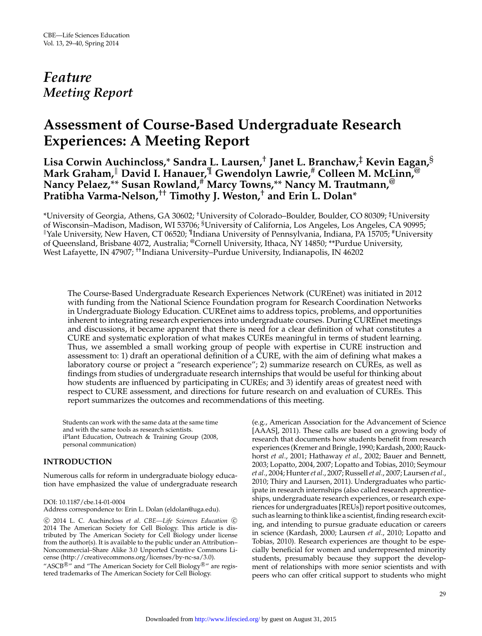## *Feature Meeting Report*

# **Assessment of Course-Based Undergraduate Research Experiences: A Meeting Report**

**Lisa Corwin Auchincloss,**\* **Sandra L. Laursen,**† **Janet L. Branchaw,**‡ **Kevin Eagan,**§  $\bm{\mathsf{Mark}}$  Graham, $^\parallel$  David I. Hanauer, $^\P$  Gwendolyn Lawrie, $^\#$  Colleen M. McLinn, $^\copyright$ **Nancy Pelaez,**\*\* **Susan Rowland,**# **Marcy Towns,**\*\* **Nancy M. Trautmann,**@ **Pratibha Varma-Nelson,**†† **Timothy J. Weston,**† **and Erin L. Dolan**\*

\*University of Georgia, Athens, GA 30602; †University of Colorado–Boulder, Boulder, CO 80309; ‡University of Wisconsin–Madison, Madison, WI 53706; §University of California, Los Angeles, Los Angeles, CA 90995; -Yale University, New Haven, CT 06520; ¶Indiana University of Pennsylvania, Indiana, PA 15705; #University of Queensland, Brisbane 4072, Australia; @Cornell University, Ithaca, NY 14850; \*\*Purdue University, West Lafayette, IN 47907; ††Indiana University–Purdue University, Indianapolis, IN 46202

The Course-Based Undergraduate Research Experiences Network (CUREnet) was initiated in 2012 with funding from the National Science Foundation program for Research Coordination Networks in Undergraduate Biology Education. CUREnet aims to address topics, problems, and opportunities inherent to integrating research experiences into undergraduate courses. During CUREnet meetings and discussions, it became apparent that there is need for a clear definition of what constitutes a CURE and systematic exploration of what makes CUREs meaningful in terms of student learning. Thus, we assembled a small working group of people with expertise in CURE instruction and assessment to: 1) draft an operational definition of a CURE, with the aim of defining what makes a laboratory course or project a "research experience"; 2) summarize research on CUREs, as well as findings from studies of undergraduate research internships that would be useful for thinking about how students are influenced by participating in CUREs; and 3) identify areas of greatest need with respect to CURE assessment, and directions for future research on and evaluation of CUREs. This report summarizes the outcomes and recommendations of this meeting.

Students can work with the same data at the same time and with the same tools as research scientists. iPlant Education, Outreach & Training Group (2008, personal communication)

## **INTRODUCTION**

Numerous calls for reform in undergraduate biology education have emphasized the value of undergraduate research

#### DOI: 10.1187/cbe.14-01-0004

Address correspondence to: Erin L. Dolan (eldolan@uga.edu).

c 2014 L. C. Auchincloss *et al*. *CBE—Life Sciences Education* c 2014 The American Society for Cell Biology. This article is distributed by The American Society for Cell Biology under license from the author(s). It is available to the public under an Attribution– Noncommercial–Share Alike 3.0 Unported Creative Commons License [\(http://creativecommons.org/licenses/by-nc-sa/3.0\)](http://creativecommons.org/licenses/by-nc-sa/3.0).

"ASCB<sup>®</sup>" and "The American Society for Cell Biology<sup>®</sup>" are registered trademarks of The American Society for Cell Biology.

(e.g., American Association for the Advancement of Science [AAAS], 2011). These calls are based on a growing body of research that documents how students benefit from research experiences (Kremer and Bringle, 1990; Kardash, 2000; Rauckhorst *et al*., 2001; Hathaway *et al*., 2002; Bauer and Bennett, 2003; Lopatto, 2004, 2007; Lopatto and Tobias, 2010; Seymour *et al*., 2004; Hunter*et al*., 2007; Russell*et al*., 2007; Laursen *et al*., 2010; Thiry and Laursen, 2011). Undergraduates who participate in research internships (also called research apprenticeships, undergraduate research experiences, or research experiences for undergraduates [REUs]) report positive outcomes, such as learning to think like a scientist, finding research exciting, and intending to pursue graduate education or careers in science (Kardash, 2000; Laursen *et al*., 2010; Lopatto and Tobias, 2010). Research experiences are thought to be especially beneficial for women and underrepresented minority students, presumably because they support the development of relationships with more senior scientists and with peers who can offer critical support to students who might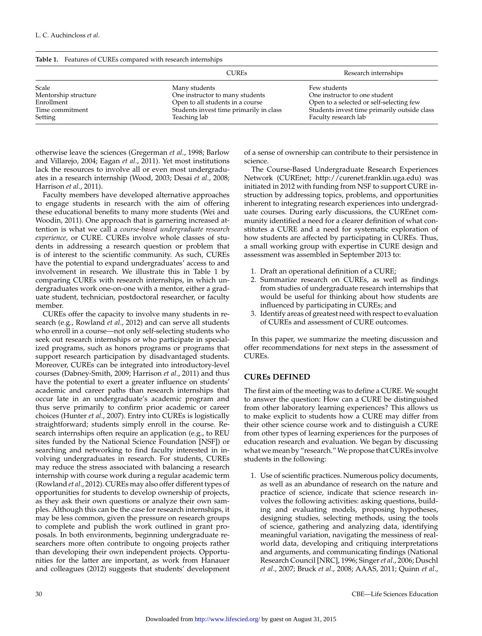|  |  | Table 1. Features of CUREs compared with research internships |  |  |
|--|--|---------------------------------------------------------------|--|--|
|--|--|---------------------------------------------------------------|--|--|

|                      | <b>CUREs</b>                            | Research internships                         |  |
|----------------------|-----------------------------------------|----------------------------------------------|--|
| Scale                | Many students                           | Few students                                 |  |
| Mentorship structure | One instructor to many students         | One instructor to one student                |  |
| Enrollment           | Open to all students in a course        | Open to a selected or self-selecting few     |  |
| Time commitment      | Students invest time primarily in class | Students invest time primarily outside class |  |
| Setting              | Teaching lab                            | Faculty research lab                         |  |

otherwise leave the sciences (Gregerman *et al*., 1998; Barlow and Villarejo, 2004; Eagan *et al*., 2011). Yet most institutions lack the resources to involve all or even most undergraduates in a research internship (Wood, 2003; Desai *et al*., 2008; Harrison *et al*., 2011).

Faculty members have developed alternative approaches to engage students in research with the aim of offering these educational benefits to many more students (Wei and Woodin, 2011). One approach that is garnering increased attention is what we call a *course-based undergraduate research experience*, or CURE. CUREs involve whole classes of students in addressing a research question or problem that is of interest to the scientific community. As such, CUREs have the potential to expand undergraduates' access to and involvement in research. We illustrate this in Table 1 by comparing CUREs with research internships, in which undergraduates work one-on-one with a mentor, either a graduate student, technician, postdoctoral researcher, or faculty member.

CUREs offer the capacity to involve many students in research (e.g., Rowland *et al*., 2012) and can serve all students who enroll in a course—not only self-selecting students who seek out research internships or who participate in specialized programs, such as honors programs or programs that support research participation by disadvantaged students. Moreover, CUREs can be integrated into introductory-level courses (Dabney-Smith, 2009; Harrison *et al*., 2011) and thus have the potential to exert a greater influence on students' academic and career paths than research internships that occur late in an undergraduate's academic program and thus serve primarily to confirm prior academic or career choices (Hunter *et al*., 2007). Entry into CUREs is logistically straightforward; students simply enroll in the course. Research internships often require an application (e.g., to REU sites funded by the National Science Foundation [NSF]) or searching and networking to find faculty interested in involving undergraduates in research. For students, CUREs may reduce the stress associated with balancing a research internship with course work during a regular academic term (Rowland *et al*., 2012). CUREs may also offer different types of opportunities for students to develop ownership of projects, as they ask their own questions or analyze their own samples. Although this can be the case for research internships, it may be less common, given the pressure on research groups to complete and publish the work outlined in grant proposals. In both environments, beginning undergraduate researchers more often contribute to ongoing projects rather than developing their own independent projects. Opportunities for the latter are important, as work from Hanauer and colleagues (2012) suggests that students' development of a sense of ownership can contribute to their persistence in science.

The Course-Based Undergraduate Research Experiences Network (CUREnet; [http://curenet.franklin.uga.edu\)](http://curenet.franklin.uga.edu) was initiated in 2012 with funding from NSF to support CURE instruction by addressing topics, problems, and opportunities inherent to integrating research experiences into undergraduate courses. During early discussions, the CUREnet community identified a need for a clearer definition of what constitutes a CURE and a need for systematic exploration of how students are affected by participating in CUREs. Thus, a small working group with expertise in CURE design and assessment was assembled in September 2013 to:

- 1. Draft an operational definition of a CURE;
- 2. Summarize research on CUREs, as well as findings from studies of undergraduate research internships that would be useful for thinking about how students are influenced by participating in CUREs; and
- 3. Identify areas of greatest need with respect to evaluation of CUREs and assessment of CURE outcomes.

In this paper, we summarize the meeting discussion and offer recommendations for next steps in the assessment of CUREs.

#### **CUREs DEFINED**

The first aim of the meeting was to define a CURE. We sought to answer the question: How can a CURE be distinguished from other laboratory learning experiences? This allows us to make explicit to students how a CURE may differ from their other science course work and to distinguish a CURE from other types of learning experiences for the purposes of education research and evaluation. We began by discussing what we mean by "research." We propose that CUREs involve students in the following:

1. Use of scientific practices. Numerous policy documents, as well as an abundance of research on the nature and practice of science, indicate that science research involves the following activities: asking questions, building and evaluating models, proposing hypotheses, designing studies, selecting methods, using the tools of science, gathering and analyzing data, identifying meaningful variation, navigating the messiness of realworld data, developing and critiquing interpretations and arguments, and communicating findings (National Research Council [NRC], 1996; Singer*et al*., 2006; Duschl *et al*., 2007; Bruck *et al*., 2008; AAAS, 2011; Quinn *et al*.,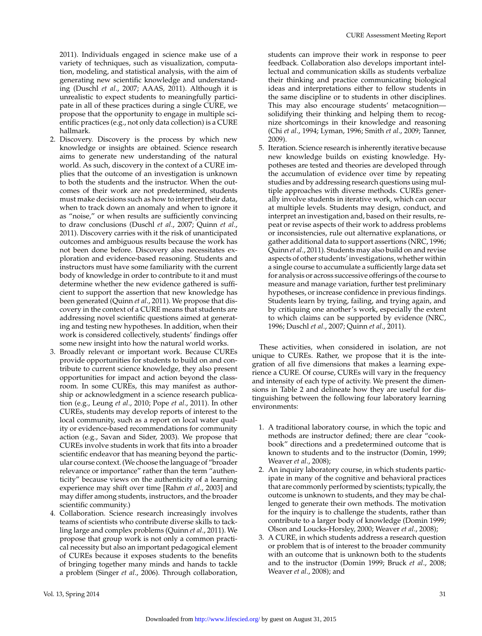2011). Individuals engaged in science make use of a variety of techniques, such as visualization, computation, modeling, and statistical analysis, with the aim of generating new scientific knowledge and understanding (Duschl *et al*., 2007; AAAS, 2011). Although it is unrealistic to expect students to meaningfully participate in all of these practices during a single CURE, we propose that the opportunity to engage in multiple scientific practices (e.g., not only data collection) is a CURE hallmark.

- 2. Discovery. Discovery is the process by which new knowledge or insights are obtained. Science research aims to generate new understanding of the natural world. As such, discovery in the context of a CURE implies that the outcome of an investigation is unknown to both the students and the instructor. When the outcomes of their work are not predetermined, students must make decisions such as how to interpret their data, when to track down an anomaly and when to ignore it as "noise," or when results are sufficiently convincing to draw conclusions (Duschl *et al*., 2007; Quinn *et al*., 2011). Discovery carries with it the risk of unanticipated outcomes and ambiguous results because the work has not been done before. Discovery also necessitates exploration and evidence-based reasoning. Students and instructors must have some familiarity with the current body of knowledge in order to contribute to it and must determine whether the new evidence gathered is sufficient to support the assertion that new knowledge has been generated (Quinn *et al*., 2011). We propose that discovery in the context of a CURE means that students are addressing novel scientific questions aimed at generating and testing new hypotheses. In addition, when their work is considered collectively, students' findings offer some new insight into how the natural world works.
- 3. Broadly relevant or important work. Because CUREs provide opportunities for students to build on and contribute to current science knowledge, they also present opportunities for impact and action beyond the classroom. In some CUREs, this may manifest as authorship or acknowledgment in a science research publication (e.g., Leung *et al*., 2010; Pope *et al*., 2011). In other CUREs, students may develop reports of interest to the local community, such as a report on local water quality or evidence-based recommendations for community action (e.g., Savan and Sider, 2003). We propose that CUREs involve students in work that fits into a broader scientific endeavor that has meaning beyond the particular course context. (We choose the language of "broader relevance or importance" rather than the term "authenticity" because views on the authenticity of a learning experience may shift over time [Rahm *et al*., 2003] and may differ among students, instructors, and the broader scientific community.)
- 4. Collaboration. Science research increasingly involves teams of scientists who contribute diverse skills to tackling large and complex problems (Quinn *et al*., 2011). We propose that group work is not only a common practical necessity but also an important pedagogical element of CUREs because it exposes students to the benefits of bringing together many minds and hands to tackle a problem (Singer *et al*., 2006). Through collaboration,

students can improve their work in response to peer feedback. Collaboration also develops important intellectual and communication skills as students verbalize their thinking and practice communicating biological ideas and interpretations either to fellow students in the same discipline or to students in other disciplines. This may also encourage students' metacognition solidifying their thinking and helping them to recognize shortcomings in their knowledge and reasoning (Chi *et al*., 1994; Lyman, 1996; Smith *et al*., 2009; Tanner, 2009).

5. Iteration. Science research is inherently iterative because new knowledge builds on existing knowledge. Hypotheses are tested and theories are developed through the accumulation of evidence over time by repeating studies and by addressing research questions using multiple approaches with diverse methods. CUREs generally involve students in iterative work, which can occur at multiple levels. Students may design, conduct, and interpret an investigation and, based on their results, repeat or revise aspects of their work to address problems or inconsistencies, rule out alternative explanations, or gather additional data to support assertions (NRC, 1996; Quinn *et al*., 2011). Students may also build on and revise aspects of other students' investigations, whether within a single course to accumulate a sufficiently large data set for analysis or across successive offerings of the course to measure and manage variation, further test preliminary hypotheses, or increase confidence in previous findings. Students learn by trying, failing, and trying again, and by critiquing one another's work, especially the extent to which claims can be supported by evidence (NRC, 1996; Duschl *et al*., 2007; Quinn *et al*., 2011).

These activities, when considered in isolation, are not unique to CUREs. Rather, we propose that it is the integration of all five dimensions that makes a learning experience a CURE. Of course, CUREs will vary in the frequency and intensity of each type of activity. We present the dimensions in Table 2 and delineate how they are useful for distinguishing between the following four laboratory learning environments:

- 1. A traditional laboratory course, in which the topic and methods are instructor defined; there are clear "cookbook" directions and a predetermined outcome that is known to students and to the instructor (Domin, 1999; Weaver *et al*., 2008);
- 2. An inquiry laboratory course, in which students participate in many of the cognitive and behavioral practices that are commonly performed by scientists; typically, the outcome is unknown to students, and they may be challenged to generate their own methods. The motivation for the inquiry is to challenge the students, rather than contribute to a larger body of knowledge (Domin 1999; Olson and Loucks-Horsley, 2000; Weaver *et al*., 2008);
- 3. A CURE, in which students address a research question or problem that is of interest to the broader community with an outcome that is unknown both to the students and to the instructor (Domin 1999; Bruck *et al*., 2008; Weaver *et al*., 2008); and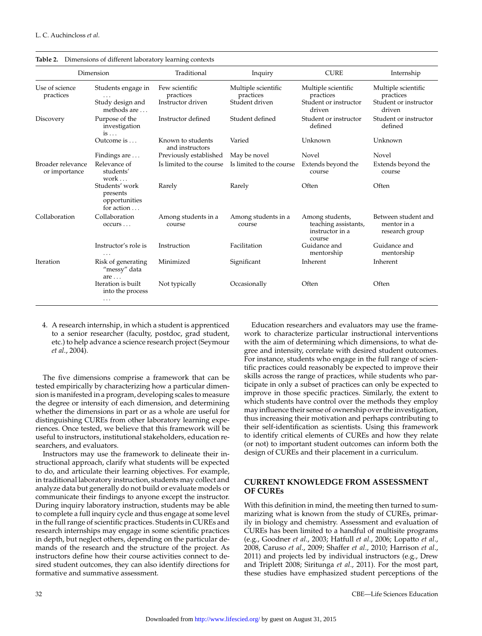| Dimension                          |                                                           | Traditional                                      | Inquiry                                            | <b>CURE</b>                                                          | Internship                                                          |
|------------------------------------|-----------------------------------------------------------|--------------------------------------------------|----------------------------------------------------|----------------------------------------------------------------------|---------------------------------------------------------------------|
| Use of science<br>practices        | Students engage in<br>Study design and<br>methods are     | Few scientific<br>practices<br>Instructor driven | Multiple scientific<br>practices<br>Student driven | Multiple scientific<br>practices<br>Student or instructor<br>driven  | Multiple scientific<br>practices<br>Student or instructor<br>driven |
| Discovery                          | Purpose of the<br>investigation<br>$is \dots$             | Instructor defined                               | Student defined                                    | Student or instructor<br>defined                                     | Student or instructor<br>defined                                    |
|                                    | Outcome is                                                | Known to students<br>and instructors             | Varied                                             | Unknown                                                              | Unknown                                                             |
|                                    | Findings are                                              | Previously established                           | May be novel                                       | Novel                                                                | Novel                                                               |
| Broader relevance<br>or importance | Relevance of<br>students'<br>work                         | Is limited to the course                         | Is limited to the course                           | Extends beyond the<br>course                                         | Extends beyond the<br>course                                        |
|                                    | Students' work<br>presents<br>opportunities<br>for action | Rarely                                           | Rarely                                             | Often                                                                | Often                                                               |
| Collaboration                      | Collaboration<br>occurs                                   | Among students in a<br>course                    | Among students in a<br>course                      | Among students,<br>teaching assistants,<br>instructor in a<br>course | Between student and<br>mentor in a<br>research group                |
|                                    | Instructor's role is                                      | Instruction                                      | Facilitation                                       | Guidance and<br>mentorship                                           | Guidance and<br>mentorship                                          |
| Iteration                          | Risk of generating<br>"messy" data<br>$are \dots$         | Minimized                                        | Significant                                        | Inherent                                                             | Inherent                                                            |
|                                    | Iteration is built<br>into the process                    | Not typically                                    | Occasionally                                       | Often                                                                | Often                                                               |
|                                    | $\cdots$                                                  |                                                  |                                                    |                                                                      |                                                                     |

**Table 2.** Dimensions of different laboratory learning contexts

4. A research internship, in which a student is apprenticed to a senior researcher (faculty, postdoc, grad student, etc.) to help advance a science research project (Seymour *et al*., 2004).

The five dimensions comprise a framework that can be tested empirically by characterizing how a particular dimension is manifested in a program, developing scales to measure the degree or intensity of each dimension, and determining whether the dimensions in part or as a whole are useful for distinguishing CUREs from other laboratory learning experiences. Once tested, we believe that this framework will be useful to instructors, institutional stakeholders, education researchers, and evaluators.

Instructors may use the framework to delineate their instructional approach, clarify what students will be expected to do, and articulate their learning objectives. For example, in traditional laboratory instruction, students may collect and analyze data but generally do not build or evaluate models or communicate their findings to anyone except the instructor. During inquiry laboratory instruction, students may be able to complete a full inquiry cycle and thus engage at some level in the full range of scientific practices. Students in CUREs and research internships may engage in some scientific practices in depth, but neglect others, depending on the particular demands of the research and the structure of the project. As instructors define how their course activities connect to desired student outcomes, they can also identify directions for formative and summative assessment.

Education researchers and evaluators may use the framework to characterize particular instructional interventions with the aim of determining which dimensions, to what degree and intensity, correlate with desired student outcomes. For instance, students who engage in the full range of scientific practices could reasonably be expected to improve their skills across the range of practices, while students who participate in only a subset of practices can only be expected to improve in those specific practices. Similarly, the extent to which students have control over the methods they employ may influence their sense of ownership over the investigation, thus increasing their motivation and perhaps contributing to their self-identification as scientists. Using this framework to identify critical elements of CUREs and how they relate (or not) to important student outcomes can inform both the design of CUREs and their placement in a curriculum.

## **CURRENT KNOWLEDGE FROM ASSESSMENT OF CUREs**

With this definition in mind, the meeting then turned to summarizing what is known from the study of CUREs, primarily in biology and chemistry. Assessment and evaluation of CUREs has been limited to a handful of multisite programs (e.g., Goodner *et al*., 2003; Hatfull *et al*., 2006; Lopatto *et al*., 2008, Caruso *et al*., 2009; Shaffer *et al*., 2010; Harrison *et al*., 2011) and projects led by individual instructors (e.g., Drew and Triplett 2008; Siritunga *et al*., 2011). For the most part, these studies have emphasized student perceptions of the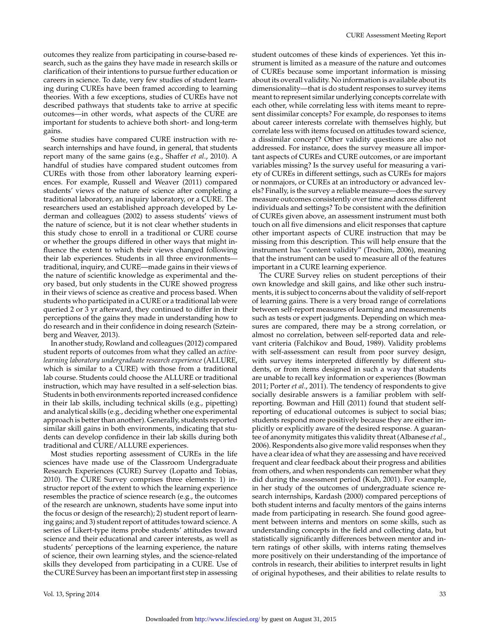outcomes they realize from participating in course-based research, such as the gains they have made in research skills or clarification of their intentions to pursue further education or careers in science. To date, very few studies of student learning during CUREs have been framed according to learning theories. With a few exceptions, studies of CUREs have not described pathways that students take to arrive at specific outcomes—in other words, what aspects of the CURE are important for students to achieve both short- and long-term gains.

Some studies have compared CURE instruction with research internships and have found, in general, that students report many of the same gains (e.g., Shaffer *et al*., 2010). A handful of studies have compared student outcomes from CUREs with those from other laboratory learning experiences. For example, Russell and Weaver (2011) compared students' views of the nature of science after completing a traditional laboratory, an inquiry laboratory, or a CURE. The researchers used an established approach developed by Lederman and colleagues (2002) to assess students' views of the nature of science, but it is not clear whether students in this study chose to enroll in a traditional or CURE course or whether the groups differed in other ways that might influence the extent to which their views changed following their lab experiences. Students in all three environments traditional, inquiry, and CURE—made gains in their views of the nature of scientific knowledge as experimental and theory based, but only students in the CURE showed progress in their views of science as creative and process based. When students who participated in a CURE or a traditional lab were queried 2 or 3 yr afterward, they continued to differ in their perceptions of the gains they made in understanding how to do research and in their confidence in doing research (Szteinberg and Weaver, 2013).

In another study, Rowland and colleagues (2012) compared student reports of outcomes from what they called an *activelearning laboratory undergraduate research experience* (ALLURE, which is similar to a CURE) with those from a traditional lab course. Students could choose the ALLURE or traditional instruction, which may have resulted in a self-selection bias. Students in both environments reported increased confidence in their lab skills, including technical skills (e.g., pipetting) and analytical skills (e.g., deciding whether one experimental approach is better than another). Generally, students reported similar skill gains in both environments, indicating that students can develop confidence in their lab skills during both traditional and CURE/ALLURE experiences.

Most studies reporting assessment of CUREs in the life sciences have made use of the Classroom Undergraduate Research Experiences (CURE) Survey (Lopatto and Tobias, 2010). The CURE Survey comprises three elements: 1) instructor report of the extent to which the learning experience resembles the practice of science research (e.g., the outcomes of the research are unknown, students have some input into the focus or design of the research); 2) student report of learning gains; and 3) student report of attitudes toward science. A series of Likert-type items probe students' attitudes toward science and their educational and career interests, as well as students' perceptions of the learning experience, the nature of science, their own learning styles, and the science-related skills they developed from participating in a CURE. Use of the CURE Survey has been an important first step in assessing student outcomes of these kinds of experiences. Yet this instrument is limited as a measure of the nature and outcomes of CUREs because some important information is missing about its overall validity. No information is available about its dimensionality—that is do student responses to survey items meant to represent similar underlying concepts correlate with each other, while correlating less with items meant to represent dissimilar concepts? For example, do responses to items about career interests correlate with themselves highly, but correlate less with items focused on attitudes toward science, a dissimilar concept? Other validity questions are also not addressed. For instance, does the survey measure all important aspects of CUREs and CURE outcomes, or are important variables missing? Is the survey useful for measuring a variety of CUREs in different settings, such as CUREs for majors or nonmajors, or CUREs at an introductory or advanced levels? Finally, is the survey a reliable measure—does the survey measure outcomes consistently over time and across different individuals and settings? To be consistent with the definition of CUREs given above, an assessment instrument must both touch on all five dimensions and elicit responses that capture other important aspects of CURE instruction that may be missing from this description. This will help ensure that the instrument has "content validity" (Trochim, 2006), meaning that the instrument can be used to measure all of the features important in a CURE learning experience.

The CURE Survey relies on student perceptions of their own knowledge and skill gains, and like other such instruments, it is subject to concerns about the validity of self-report of learning gains. There is a very broad range of correlations between self-report measures of learning and measurements such as tests or expert judgments. Depending on which measures are compared, there may be a strong correlation, or almost no correlation, between self-reported data and relevant criteria (Falchikov and Boud, 1989). Validity problems with self-assessment can result from poor survey design, with survey items interpreted differently by different students, or from items designed in such a way that students are unable to recall key information or experiences (Bowman 2011; Porter *et al*., 2011). The tendency of respondents to give socially desirable answers is a familiar problem with selfreporting. Bowman and Hill (2011) found that student selfreporting of educational outcomes is subject to social bias; students respond more positively because they are either implicitly or explicitly aware of the desired response. A guarantee of anonymity mitigates this validity threat (Albanese *et al*., 2006). Respondents also give more valid responses when they have a clear idea of what they are assessing and have received frequent and clear feedback about their progress and abilities from others, and when respondents can remember what they did during the assessment period (Kuh, 2001). For example, in her study of the outcomes of undergraduate science research internships, Kardash (2000) compared perceptions of both student interns and faculty mentors of the gains interns made from participating in research. She found good agreement between interns and mentors on some skills, such as understanding concepts in the field and collecting data, but statistically significantly differences between mentor and intern ratings of other skills, with interns rating themselves more positively on their understanding of the importance of controls in research, their abilities to interpret results in light of original hypotheses, and their abilities to relate results to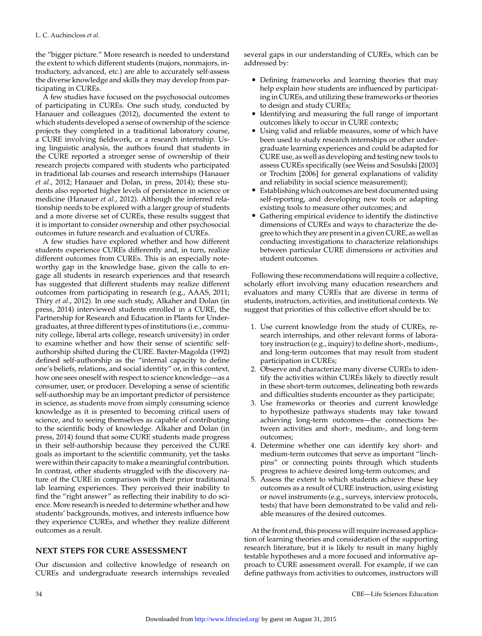the "bigger picture." More research is needed to understand the extent to which different students (majors, nonmajors, introductory, advanced, etc.) are able to accurately self-assess the diverse knowledge and skills they may develop from participating in CUREs.

A few studies have focused on the psychosocial outcomes of participating in CUREs. One such study, conducted by Hanauer and colleagues (2012), documented the extent to which students developed a sense of ownership of the science projects they completed in a traditional laboratory course, a CURE involving fieldwork, or a research internship. Using linguistic analysis, the authors found that students in the CURE reported a stronger sense of ownership of their research projects compared with students who participated in traditional lab courses and research internships (Hanauer *et al*., 2012; Hanauer and Dolan, in press, 2014); these students also reported higher levels of persistence in science or medicine (Hanauer *et al*., 2012). Although the inferred relationship needs to be explored with a larger group of students and a more diverse set of CUREs, these results suggest that it is important to consider ownership and other psychosocial outcomes in future research and evaluation of CUREs.

A few studies have explored whether and how different students experience CUREs differently and, in turn, realize different outcomes from CUREs. This is an especially noteworthy gap in the knowledge base, given the calls to engage all students in research experiences and that research has suggested that different students may realize different outcomes from participating in research (e.g., AAAS, 2011; Thiry *et al.*, 2012). In one such study, Alkaher and Dolan (in press, 2014) interviewed students enrolled in a CURE, the Partnership for Research and Education in Plants for Undergraduates, at three different types of institutions (i.e., community college, liberal arts college, research university) in order to examine whether and how their sense of scientific selfauthorship shifted during the CURE. Baxter-Magolda (1992) defined self-authorship as the "internal capacity to define one's beliefs, relations, and social identity" or, in this context, how one sees oneself with respect to science knowledge—as a consumer, user, or producer. Developing a sense of scientific self-authorship may be an important predictor of persistence in science, as students move from simply consuming science knowledge as it is presented to becoming critical users of science, and to seeing themselves as capable of contributing to the scientific body of knowledge. Alkaher and Dolan (in press, 2014) found that some CURE students made progress in their self-authorship because they perceived the CURE goals as important to the scientific community, yet the tasks were within their capacity to make a meaningful contribution. In contrast, other students struggled with the discovery nature of the CURE in comparison with their prior traditional lab learning experiences. They perceived their inability to find the "right answer" as reflecting their inability to do science. More research is needed to determine whether and how students' backgrounds, motives, and interests influence how they experience CUREs, and whether they realize different outcomes as a result.

## **NEXT STEPS FOR CURE ASSESSMENT**

Our discussion and collective knowledge of research on CUREs and undergraduate research internships revealed several gaps in our understanding of CUREs, which can be addressed by:

- Defining frameworks and learning theories that may help explain how students are influenced by participating in CUREs, and utilizing these frameworks or theories
- to design and study CUREs;<br>Identifying and measuring the full range of important
- outcomes likely to occur in CURE contexts;<br>Using valid and reliable measures, some of which have been used to study research internships or other undergraduate learning experiences and could be adapted for CURE use, as well as developing and testing new tools to assess CUREs specifically (see Weiss and Sosulski [2003] or Trochim [2006] for general explanations of validity
- and reliability in social science measurement);<br>Establishing which outcomes are best documented using self-reporting, and developing new tools or adapting existing tools to measure other outcomes; and
- existing tools to measure other outcomes; and<br>• Gathering empirical evidence to identify the distinctive dimensions of CUREs and ways to characterize the degree to which they are present in a given CURE, as well as conducting investigations to characterize relationships between particular CURE dimensions or activities and student outcomes.

Following these recommendations will require a collective, scholarly effort involving many education researchers and evaluators and many CUREs that are diverse in terms of students, instructors, activities, and institutional contexts. We suggest that priorities of this collective effort should be to:

- 1. Use current knowledge from the study of CUREs, research internships, and other relevant forms of laboratory instruction (e.g., inquiry) to define short-, medium-, and long-term outcomes that may result from student participation in CUREs;
- 2. Observe and characterize many diverse CUREs to identify the activities within CUREs likely to directly result in these short-term outcomes, delineating both rewards and difficulties students encounter as they participate;
- 3. Use frameworks or theories and current knowledge to hypothesize pathways students may take toward achieving long-term outcomes—the connections between activities and short-, medium-, and long-term outcomes;
- 4. Determine whether one can identify key short- and medium-term outcomes that serve as important "linchpins" or connecting points through which students progress to achieve desired long-term outcomes; and
- 5. Assess the extent to which students achieve these key outcomes as a result of CURE instruction, using existing or novel instruments (e.g., surveys, interview protocols, tests) that have been demonstrated to be valid and reliable measures of the desired outcomes.

At the front end, this process will require increased application of learning theories and consideration of the supporting research literature, but it is likely to result in many highly testable hypotheses and a more focused and informative approach to CURE assessment overall. For example, if we can define pathways from activities to outcomes, instructors will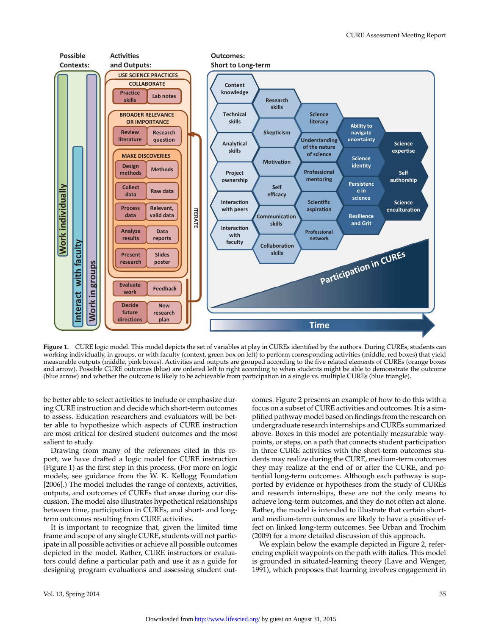

**Figure 1.** CURE logic model. This model depicts the set of variables at play in CUREs identified by the authors. During CUREs, students can working individually, in groups, or with faculty (context, green box on left) to perform corresponding activities (middle, red boxes) that yield measurable outputs (middle, pink boxes). Activities and outputs are grouped according to the five related elements of CUREs (orange boxes and arrow). Possible CURE outcomes (blue) are ordered left to right according to when students might be able to demonstrate the outcome (blue arrow) and whether the outcome is likely to be achievable from participation in a single vs. multiple CUREs (blue triangle).

be better able to select activities to include or emphasize during CURE instruction and decide which short-term outcomes to assess. Education researchers and evaluators will be better able to hypothesize which aspects of CURE instruction are most critical for desired student outcomes and the most salient to study.

Drawing from many of the references cited in this report, we have drafted a logic model for CURE instruction (Figure 1) as the first step in this process. (For more on logic models, see guidance from the W. K. Kellogg Foundation [2006].) The model includes the range of contexts, activities, outputs, and outcomes of CUREs that arose during our discussion. The model also illustrates hypothetical relationships between time, participation in CUREs, and short- and longterm outcomes resulting from CURE activities.

It is important to recognize that, given the limited time frame and scope of any single CURE, students will not participate in all possible activities or achieve all possible outcomes depicted in the model. Rather, CURE instructors or evaluators could define a particular path and use it as a guide for designing program evaluations and assessing student outcomes. Figure 2 presents an example of how to do this with a focus on a subset of CURE activities and outcomes. It is a simplified pathway model based on findings from the research on undergraduate research internships and CUREs summarized above. Boxes in this model are potentially measurable waypoints, or steps, on a path that connects student participation in three CURE activities with the short-term outcomes students may realize during the CURE, medium-term outcomes they may realize at the end of or after the CURE, and potential long-term outcomes. Although each pathway is supported by evidence or hypotheses from the study of CUREs and research internships, these are not the only means to achieve long-term outcomes, and they do not often act alone. Rather, the model is intended to illustrate that certain shortand medium-term outcomes are likely to have a positive effect on linked long-term outcomes. See Urban and Trochim (2009) for a more detailed discussion of this approach.

We explain below the example depicted in Figure 2, referencing explicit waypoints on the path with italics. This model is grounded in situated-learning theory (Lave and Wenger, 1991), which proposes that learning involves engagement in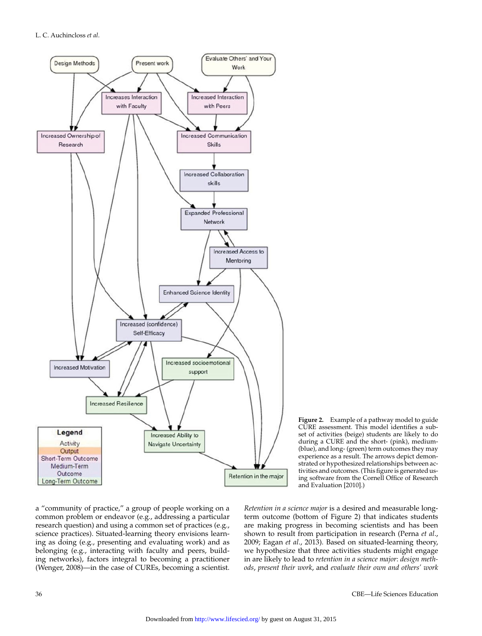



a "community of practice," a group of people working on a common problem or endeavor (e.g., addressing a particular research question) and using a common set of practices (e.g., science practices). Situated-learning theory envisions learning as doing (e.g., presenting and evaluating work) and as belonging (e.g., interacting with faculty and peers, building networks), factors integral to becoming a practitioner (Wenger, 2008)—in the case of CUREs, becoming a scientist.

*Retention in a science major* is a desired and measurable longterm outcome (bottom of Figure 2) that indicates students are making progress in becoming scientists and has been shown to result from participation in research (Perna *et al*., 2009; Eagan *et al*., 2013). Based on situated-learning theory, we hypothesize that three activities students might engage in are likely to lead to *retention in a science major*: *design methods*, *present their work*, and *evaluate their own and others' work*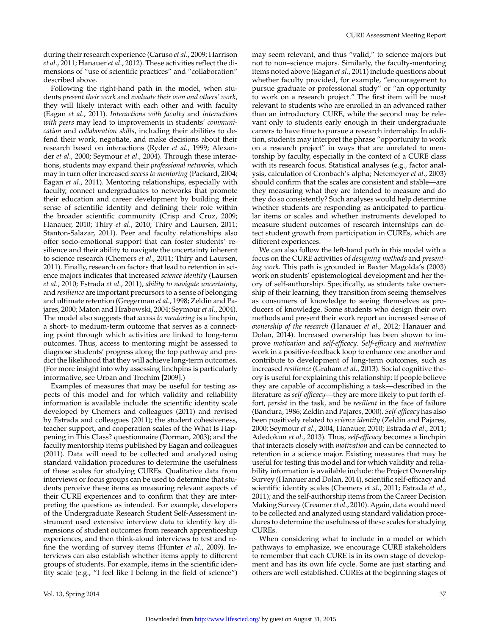during their research experience (Caruso *et al*., 2009; Harrison *et al*., 2011; Hanauer *et al*., 2012). These activities reflect the dimensions of "use of scientific practices" and "collaboration" described above.

Following the right-hand path in the model, when students *present their work* and *evaluate their own and others' work*, they will likely interact with each other and with faculty (Eagan *et al*., 2011). *Interactions with faculty* and *interactions with peers* may lead to improvements in students' *communication* and *collaboration skills*, including their abilities to defend their work, negotiate, and make decisions about their research based on interactions (Ryder *et al*., 1999; Alexander *et al*., 2000; Seymour *et al*., 2004). Through these interactions, students may expand their *professional networks*, which may in turn offer increased *access to mentoring* (Packard, 2004; Eagan *et al*., 2011). Mentoring relationships, especially with faculty, connect undergraduates to networks that promote their education and career development by building their sense of scientific identity and defining their role within the broader scientific community (Crisp and Cruz, 2009; Hanauer, 2010; Thiry *et al*., 2010; Thiry and Laursen, 2011; Stanton-Salazar, 2011). Peer and faculty relationships also offer socio-emotional support that can foster students' resilience and their ability to navigate the uncertainty inherent to science research (Chemers *et al*., 2011; Thiry and Laursen, 2011). Finally, research on factors that lead to retention in science majors indicates that increased *science identity* (Laursen *et al*., 2010; Estrada *et al*., 2011), *ability to navigate uncertainty*, and *resilience* are important precursors to a sense of belonging and ultimate retention (Gregerman *et al*., 1998; Zeldin and Pajares, 2000; Maton and Hrabowski, 2004; Seymour*et al*., 2004). The model also suggests that *access to mentoring* is a linchpin, a short- to medium-term outcome that serves as a connecting point through which activities are linked to long-term outcomes. Thus, access to mentoring might be assessed to diagnose students' progress along the top pathway and predict the likelihood that they will achieve long-term outcomes. (For more insight into why assessing linchpins is particularly informative, see Urban and Trochim [2009].)

Examples of measures that may be useful for testing aspects of this model and for which validity and reliability information is available include: the scientific identity scale developed by Chemers and colleagues (2011) and revised by Estrada and colleagues (2011); the student cohesiveness, teacher support, and cooperation scales of the What Is Happening in This Class? questionnaire (Dorman, 2003); and the faculty mentorship items published by Eagan and colleagues (2011). Data will need to be collected and analyzed using standard validation procedures to determine the usefulness of these scales for studying CUREs. Qualitative data from interviews or focus groups can be used to determine that students perceive these items as measuring relevant aspects of their CURE experiences and to confirm that they are interpreting the questions as intended. For example, developers of the Undergraduate Research Student Self-Assessment instrument used extensive interview data to identify key dimensions of student outcomes from research apprenticeship experiences, and then think-aloud interviews to test and refine the wording of survey items (Hunter *et al*., 2009). Interviews can also establish whether items apply to different groups of students. For example, items in the scientific identity scale (e.g., "I feel like I belong in the field of science")

may seem relevant, and thus "valid," to science majors but not to non–science majors. Similarly, the faculty-mentoring items noted above (Eagan *et al*., 2011) include questions about whether faculty provided, for example, "encouragement to pursue graduate or professional study" or "an opportunity to work on a research project." The first item will be most relevant to students who are enrolled in an advanced rather than an introductory CURE, while the second may be relevant only to students early enough in their undergraduate careers to have time to pursue a research internship. In addition, students may interpret the phrase "opportunity to work on a research project" in ways that are unrelated to mentorship by faculty, especially in the context of a CURE class with its research focus. Statistical analyses (e.g., factor analysis, calculation of Cronbach's alpha; Netemeyer *et al*., 2003) should confirm that the scales are consistent and stable—are they measuring what they are intended to measure and do they do so consistently? Such analyses would help determine whether students are responding as anticipated to particular items or scales and whether instruments developed to measure student outcomes of research internships can detect student growth from participation in CUREs, which are different experiences.

We can also follow the left-hand path in this model with a focus on the CURE activities of *designing methods* and *presenting work*. This path is grounded in Baxter Magolda's (2003) work on students' epistemological development and her theory of self-authorship. Specifically, as students take ownership of their learning, they transition from seeing themselves as consumers of knowledge to seeing themselves as producers of knowledge. Some students who design their own methods and present their work report an increased sense of *ownership of the research* (Hanauer *et al*., 2012; Hanauer and Dolan, 2014). Increased ownership has been shown to improve *motivation* and *self-efficacy*. *Self-efficacy* and *motivation* work in a positive-feedback loop to enhance one another and contribute to development of long-term outcomes, such as increased *resilience* (Graham *et al*., 2013). Social cognitive theory is useful for explaining this relationship: if people believe they are capable of accomplishing a task—described in the literature as *self-efficacy*—they are more likely to put forth effort, *persist* in the task, and be *resilient* in the face of failure (Bandura, 1986; Zeldin and Pajares, 2000). *Self-efficacy* has also been positively related to *science identity* (Zeldin and Pajares, 2000; Seymour *et al*., 2004; Hanauer, 2010; Estrada *et al*., 2011; Adedokun *et al*., 2013). Thus, *self-efficacy* becomes a linchpin that interacts closely with *motivation* and can be connected to retention in a science major. Existing measures that may be useful for testing this model and for which validity and reliability information is available include: the Project Ownership Survey (Hanauer and Dolan, 2014), scientific self-efficacy and scientific identity scales (Chemers *et al*., 2011; Estrada *et al*., 2011); and the self-authorship items from the Career Decision Making Survey (Creamer*et al*., 2010). Again, data would need to be collected and analyzed using standard validation procedures to determine the usefulness of these scales for studying CUREs.

When considering what to include in a model or which pathways to emphasize, we encourage CURE stakeholders to remember that each CURE is in its own stage of development and has its own life cycle. Some are just starting and others are well established. CUREs at the beginning stages of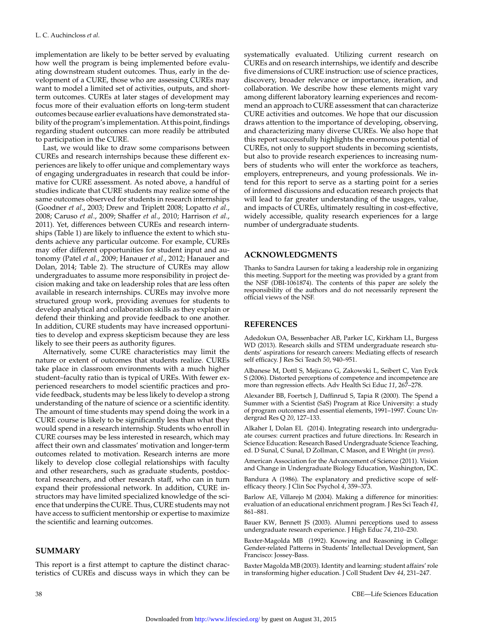implementation are likely to be better served by evaluating how well the program is being implemented before evaluating downstream student outcomes. Thus, early in the development of a CURE, those who are assessing CUREs may want to model a limited set of activities, outputs, and shortterm outcomes. CUREs at later stages of development may focus more of their evaluation efforts on long-term student outcomes because earlier evaluations have demonstrated stability of the program's implementation. At this point, findings regarding student outcomes can more readily be attributed to participation in the CURE.

Last, we would like to draw some comparisons between CUREs and research internships because these different experiences are likely to offer unique and complementary ways of engaging undergraduates in research that could be informative for CURE assessment. As noted above, a handful of studies indicate that CURE students may realize some of the same outcomes observed for students in research internships (Goodner *et al*., 2003; Drew and Triplett 2008; Lopatto *et al*., 2008; Caruso *et al*., 2009; Shaffer *et al*., 2010; Harrison *et al*., 2011). Yet, differences between CUREs and research internships (Table 1) are likely to influence the extent to which students achieve any particular outcome. For example, CUREs may offer different opportunities for student input and autonomy (Patel *et al*., 2009; Hanauer *et al*., 2012; Hanauer and Dolan, 2014; Table 2). The structure of CUREs may allow undergraduates to assume more responsibility in project decision making and take on leadership roles that are less often available in research internships. CUREs may involve more structured group work, providing avenues for students to develop analytical and collaboration skills as they explain or defend their thinking and provide feedback to one another. In addition, CURE students may have increased opportunities to develop and express skepticism because they are less likely to see their peers as authority figures.

Alternatively, some CURE characteristics may limit the nature or extent of outcomes that students realize. CUREs take place in classroom environments with a much higher student–faculty ratio than is typical of UREs. With fewer experienced researchers to model scientific practices and provide feedback, students may be less likely to develop a strong understanding of the nature of science or a scientific identity. The amount of time students may spend doing the work in a CURE course is likely to be significantly less than what they would spend in a research internship. Students who enroll in CURE courses may be less interested in research, which may affect their own and classmates' motivation and longer-term outcomes related to motivation. Research interns are more likely to develop close collegial relationships with faculty and other researchers, such as graduate students, postdoctoral researchers, and other research staff, who can in turn expand their professional network. In addition, CURE instructors may have limited specialized knowledge of the science that underpins the CURE. Thus, CURE students may not have access to sufficient mentorship or expertise to maximize the scientific and learning outcomes.

#### **SUMMARY**

This report is a first attempt to capture the distinct characteristics of CUREs and discuss ways in which they can be systematically evaluated. Utilizing current research on CUREs and on research internships, we identify and describe five dimensions of CURE instruction: use of science practices, discovery, broader relevance or importance, iteration, and collaboration. We describe how these elements might vary among different laboratory learning experiences and recommend an approach to CURE assessment that can characterize CURE activities and outcomes. We hope that our discussion draws attention to the importance of developing, observing, and characterizing many diverse CUREs. We also hope that this report successfully highlights the enormous potential of CUREs, not only to support students in becoming scientists, but also to provide research experiences to increasing numbers of students who will enter the workforce as teachers, employers, entrepreneurs, and young professionals. We intend for this report to serve as a starting point for a series of informed discussions and education research projects that will lead to far greater understanding of the usages, value, and impacts of CUREs, ultimately resulting in cost-effective, widely accessible, quality research experiences for a large number of undergraduate students.

#### **ACKNOWLEDGMENTS**

Thanks to Sandra Laursen for taking a leadership role in organizing this meeting. Support for the meeting was provided by a grant from the NSF (DBI-1061874). The contents of this paper are solely the responsibility of the authors and do not necessarily represent the official views of the NSF.

## **REFERENCES**

Adedokun OA, Bessenbacher AB, Parker LC, Kirkham LL, Burgess WD (2013). Research skills and STEM undergraduate research students' aspirations for research careers: Mediating effects of research self efficacy. J Res Sci Teach *50*, 940–951.

Albanese M, Dottl S, Mejicano G, Zakowski L, Seibert C, Van Eyck S (2006). Distorted perceptions of competence and incompetence are more than regression effects. Adv Health Sci Educ *11*, 267–278.

Alexander BB, Foertsch J, Daffinrud S, Tapia R (2000). The Spend a Summer with a Scientist (SaS) Program at Rice University: a study of program outcomes and essential elements, 1991–1997. Counc Undergrad Res Q *20*, 127–133.

Alkaher I, Dolan EL (2014). Integrating research into undergraduate courses: current practices and future directions. In: Research in Science Education: Research Based Undergraduate Science Teaching, ed. D Sunal, C Sunal, D Zollman, C Mason, and E Wright (*in press*).

American Association for the Advancement of Science (2011). Vision and Change in Undergraduate Biology Education, Washington, DC.

Bandura A (1986). The explanatory and predictive scope of selfefficacy theory. J Clin Soc Psychol *4*, 359–373.

Barlow AE, Villarejo M (2004). Making a difference for minorities: evaluation of an educational enrichment program. J Res Sci Teach *41*, 861–881.

Bauer KW, Bennett JS (2003). Alumni perceptions used to assess undergraduate research experience. J High Educ *74*, 210–230.

Baxter-Magolda MB (1992). Knowing and Reasoning in College: Gender-related Patterns in Students' Intellectual Development, San Francisco: Jossey-Bass.

Baxter Magolda MB (2003). Identity and learning: student affairs' role in transforming higher education. J Coll Student Dev *44*, 231–247.

38 CBE—Life Sciences Education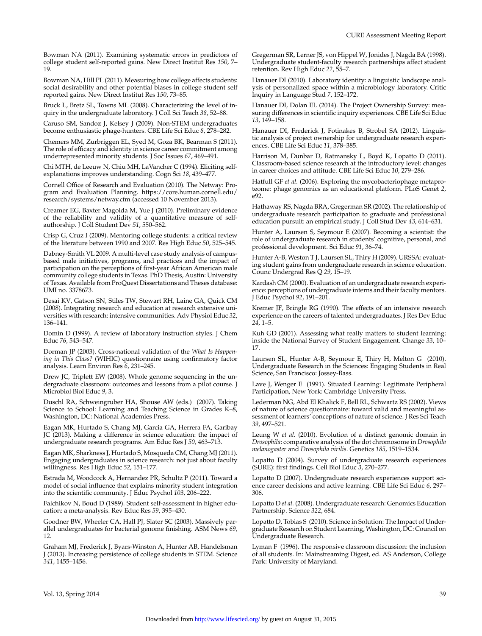Bowman NA (2011). Examining systematic errors in predictors of college student self-reported gains. New Direct Institut Res *150*, 7– 19.

Bowman NA, Hill PL (2011). Measuring how college affects students: social desirability and other potential biases in college student self reported gains. New Direct Institut Res *150*, 73–85.

Bruck L, Bretz SL, Towns ML (2008). Characterizing the level of inquiry in the undergraduate laboratory. J Coll Sci Teach *38*, 52–88.

Caruso SM, Sandoz J, Kelsey J (2009). Non-STEM undergraduates become enthusiastic phage-hunters. CBE Life Sci Educ *8*, 278–282.

Chemers MM, Zurbriggen EL, Syed M, Goza BK, Bearman S (2011). The role of efficacy and identity in science career commitment among underrepresented minority students. J Soc Issues *67*, 469–491.

Chi MTH, de Leeuw N, Chiu MH, LaVancher C (1994). Eliciting selfexplanations improves understanding. Cogn Sci *18*, 439–477.

Cornell Office of Research and Evaluation (2010). The Netway: Program and Evaluation Planning. [https://core.human.cornell.edu/](https://core.human.cornell.edu/research/systems/netway.cfm) [research/systems/netway.cfm](https://core.human.cornell.edu/research/systems/netway.cfm) (accessed 10 November 2013).

Creamer EG, Baxter Magolda M, Yue J (2010). Preliminary evidence of the reliability and validity of a quantitative measure of selfauthorship. J Coll Student Dev *51*, 550–562.

Crisp G, Cruz I (2009). Mentoring college students: a critical review of the literature between 1990 and 2007. Res High Educ *50*, 525–545.

Dabney-Smith VL 2009. A multi-level case study analysis of campusbased male initiatives, programs, and practices and the impact of participation on the perceptions of first-year African American male community college students in Texas. PhD Thesis, Austin: University of Texas. Available from ProQuest Dissertations and Theses database: UMI no. 3378673.

Desai KV, Gatson SN, Stiles TW, Stewart RH, Laine GA, Quick CM (2008). Integrating research and education at research extensive universities with research: intensive communities. Adv Physiol Educ *32*, 136–141.

Domin D (1999). A review of laboratory instruction styles. J Chem Educ *76*, 543–547.

Dorman JP (2003). Cross-national validation of the *What Is Happening in This Class?* (WIHIC) questionnaire using confirmatory factor analysis. Learn Environ Res *6*, 231–245.

Drew JC, Triplett EW (2008). Whole genome sequencing in the undergraduate classroom: outcomes and lessons from a pilot course. J Microbiol Biol Educ *9*, 3.

Duschl RA, Schweingruber HA, Shouse AW (eds.) (2007). Taking Science to School: Learning and Teaching Science in Grades K–8, Washington, DC: National Academies Press.

Eagan MK, Hurtado S, Chang MJ, Garcia GA, Herrera FA, Garibay JC (2013). Making a difference in science education: the impact of undergraduate research programs. Am Educ Res J *50*, 463–713.

Eagan MK, Sharkness J, Hurtado S, Mosqueda CM, Chang MJ (2011). Engaging undergraduates in science research: not just about faculty willingness. Res High Educ *52*, 151–177.

Estrada M, Woodcock A, Hernandez PR, Schultz P (2011). Toward a model of social influence that explains minority student integration into the scientific community. J Educ Psychol *103*, 206–222.

Falchikov N, Boud D (1989). Student self-assessment in higher education: a meta-analysis. Rev Educ Res *59*, 395–430.

Goodner BW, Wheeler CA, Hall PJ, Slater SC (2003). Massively parallel undergraduates for bacterial genome finishing. ASM News *69*, 12.

Graham MJ, Frederick J, Byars-Winston A, Hunter AB, Handelsman J (2013). Increasing persistence of college students in STEM. Science *341*, 1455–1456.

Gregerman SR, Lerner JS, von Hippel W, Jonides J, Nagda BA (1998). Undergraduate student-faculty research partnerships affect student retention. Rev High Educ *22*, 55–7.

Hanauer DI (2010). Laboratory identity: a linguistic landscape analysis of personalized space within a microbiology laboratory. Critic Inquiry in Language Stud *7*, 152–172.

Hanauer DI, Dolan EL (2014). The Project Ownership Survey: measuring differences in scientific inquiry experiences. CBE Life Sci Educ *13*, 149–158.

Hanauer DI, Frederick J, Fotinakes B, Strobel SA (2012). Linguistic analysis of project ownership for undergraduate research experiences. CBE Life Sci Educ *11*, 378–385.

Harrison M, Dunbar D, Ratmansky L, Boyd K, Lopatto D (2011). Classroom-based science research at the introductory level: changes in career choices and attitude. CBE Life Sci Educ *10*, 279–286.

Hatfull GF *et al.* (2006). Exploring the mycobacteriophage metaproteome: phage genomics as an educational platform. PLoS Genet *2*, e92.

Hathaway RS, Nagda BRA, Gregerman SR (2002). The relationship of undergraduate research participation to graduate and professional education pursuit: an empirical study. J Coll Stud Dev *43*, 614–631.

Hunter A, Laursen S, Seymour E (2007). Becoming a scientist: the role of undergraduate research in students' cognitive, personal, and professional development. Sci Educ *91*, 36–74.

Hunter A-B, Weston T J, Laursen SL, Thiry H (2009). URSSA: evaluating student gains from undergraduate research in science education. Counc Undergrad Res Q *29*, 15–19.

Kardash CM (2000). Evaluation of an undergraduate research experience: perceptions of undergraduate interns and their faculty mentors. J Educ Psychol *92*, 191–201.

Kremer JF, Bringle RG (1990). The effects of an intensive research experience on the careers of talented undergraduates. J Res Dev Educ *24*, 1–5.

Kuh GD (2001). Assessing what really matters to student learning: inside the National Survey of Student Engagement. Change *33*, 10– 17.

Laursen SL, Hunter A-B, Seymour E, Thiry H, Melton G (2010). Undergraduate Research in the Sciences: Engaging Students in Real Science, San Francisco: Jossey-Bass.

Lave J, Wenger E (1991). Situated Learning: Legitimate Peripheral Participation, New York: Cambridge University Press.

Lederman NG, Abd El Khalick F, Bell RL, Schwartz RS (2002). Views of nature of science questionnaire: toward valid and meaningful assessment of learners' conceptions of nature of science. J Res Sci Teach *39*, 497–521.

Leung W *et al.* (2010). Evolution of a distinct genomic domain in *Drosophila*: comparative analysis of the dot chromosome in *Drosophila melanogaster* and *Drosophila virilis*. Genetics *185*, 1519–1534.

Lopatto D (2004). Survey of undergraduate research experiences (SURE): first findings. Cell Biol Educ *3*, 270–277.

Lopatto D (2007). Undergraduate research experiences support science career decisions and active learning. CBE Life Sci Educ *6*, 297– 306.

Lopatto D *et al.* (2008). Undergraduate research: Genomics Education Partnership. Science *322*, 684.

Lopatto D, Tobias S (2010). Science in Solution: The Impact of Undergraduate Research on Student Learning, Washington, DC: Council on Undergraduate Research.

Lyman F (1996). The responsive classroom discussion: the inclusion of all students. In: Mainstreaming Digest, ed. AS Anderson, College Park: University of Maryland.